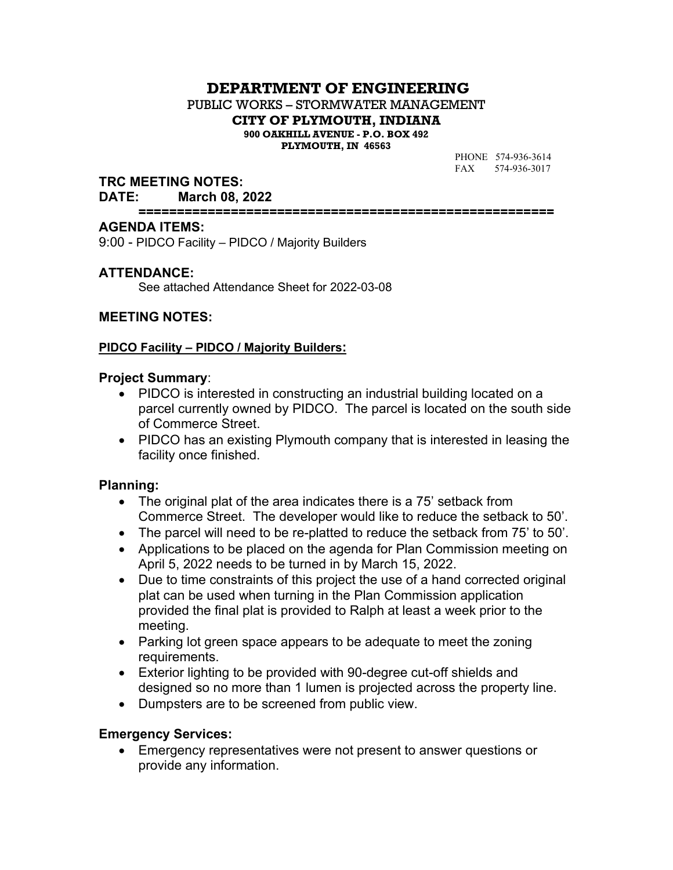# **DEPARTMENT OF ENGINEERING**

PUBLIC WORKS – STORMWATER MANAGEMENT

**CITY OF PLYMOUTH, INDIANA**

**900 OAKHILL AVENUE - P.O. BOX 492 PLYMOUTH, IN 46563**

> PHONE 574-936-3614 FAX 574-936-3017

### **TRC MEETING NOTES:**

#### **DATE: March 08, 2022**

**======================================================**

#### **AGENDA ITEMS:**

9:00 - PIDCO Facility – PIDCO / Majority Builders

### **ATTENDANCE:**

See attached Attendance Sheet for 2022-03-08

### **MEETING NOTES:**

### **PIDCO Facility – PIDCO / Majority Builders:**

#### **Project Summary**:

- PIDCO is interested in constructing an industrial building located on a parcel currently owned by PIDCO. The parcel is located on the south side of Commerce Street.
- PIDCO has an existing Plymouth company that is interested in leasing the facility once finished.

### **Planning:**

- The original plat of the area indicates there is a 75' setback from Commerce Street. The developer would like to reduce the setback to 50'.
- The parcel will need to be re-platted to reduce the setback from 75' to 50'.
- Applications to be placed on the agenda for Plan Commission meeting on April 5, 2022 needs to be turned in by March 15, 2022.
- Due to time constraints of this project the use of a hand corrected original plat can be used when turning in the Plan Commission application provided the final plat is provided to Ralph at least a week prior to the meeting.
- Parking lot green space appears to be adequate to meet the zoning requirements.
- Exterior lighting to be provided with 90-degree cut-off shields and designed so no more than 1 lumen is projected across the property line.
- Dumpsters are to be screened from public view.

### **Emergency Services:**

 Emergency representatives were not present to answer questions or provide any information.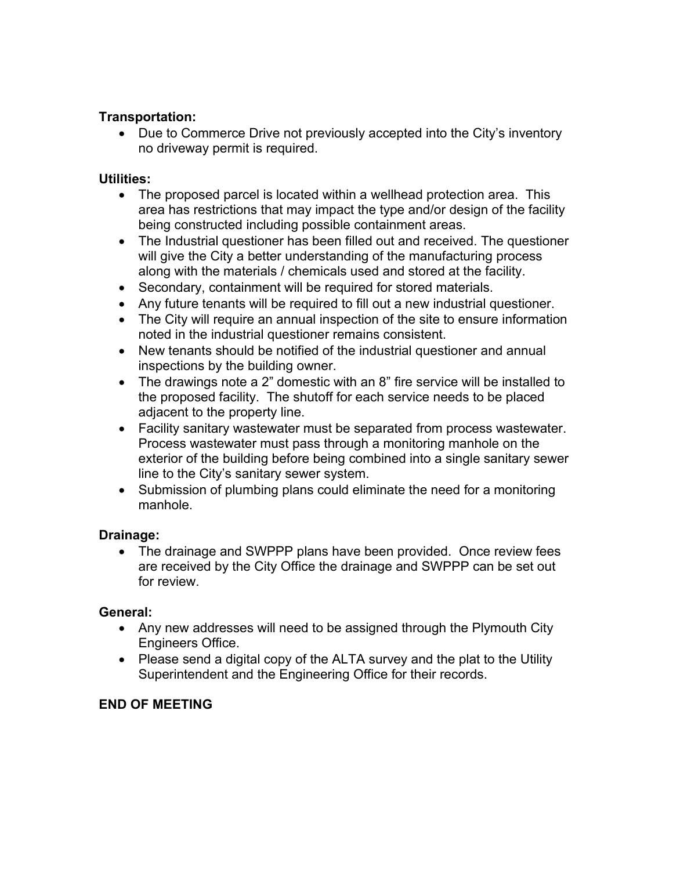## **Transportation:**

• Due to Commerce Drive not previously accepted into the City's inventory no driveway permit is required.

### **Utilities:**

- The proposed parcel is located within a wellhead protection area. This area has restrictions that may impact the type and/or design of the facility being constructed including possible containment areas.
- The Industrial questioner has been filled out and received. The questioner will give the City a better understanding of the manufacturing process along with the materials / chemicals used and stored at the facility.
- Secondary, containment will be required for stored materials.
- Any future tenants will be required to fill out a new industrial questioner.
- The City will require an annual inspection of the site to ensure information noted in the industrial questioner remains consistent.
- New tenants should be notified of the industrial questioner and annual inspections by the building owner.
- The drawings note a 2" domestic with an 8" fire service will be installed to the proposed facility. The shutoff for each service needs to be placed adjacent to the property line.
- Facility sanitary wastewater must be separated from process wastewater. Process wastewater must pass through a monitoring manhole on the exterior of the building before being combined into a single sanitary sewer line to the City's sanitary sewer system.
- Submission of plumbing plans could eliminate the need for a monitoring manhole.

# **Drainage:**

• The drainage and SWPPP plans have been provided. Once review fees are received by the City Office the drainage and SWPPP can be set out for review.

# **General:**

- Any new addresses will need to be assigned through the Plymouth City Engineers Office.
- Please send a digital copy of the ALTA survey and the plat to the Utility Superintendent and the Engineering Office for their records.

# **END OF MEETING**